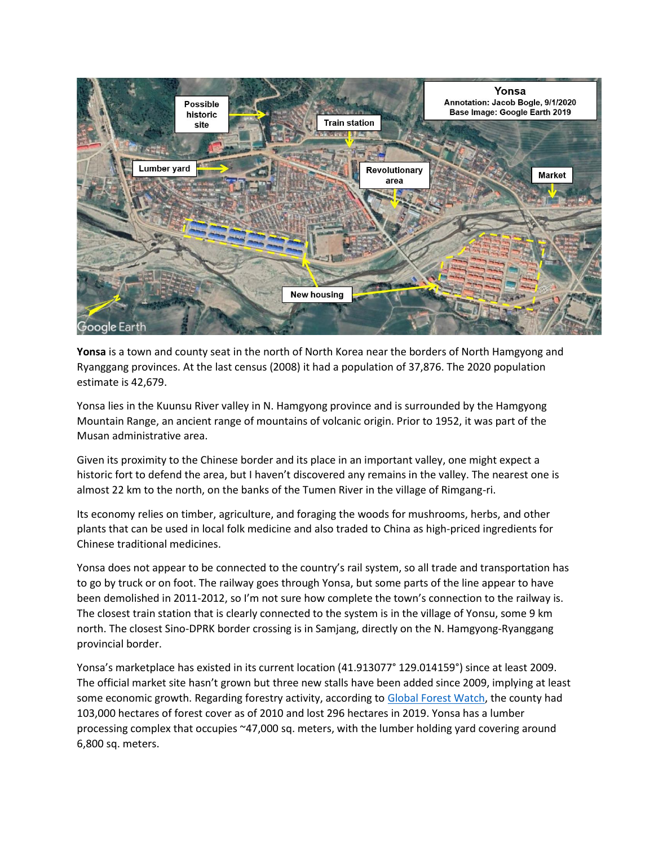

**Yonsa** is a town and county seat in the north of North Korea near the borders of North Hamgyong and Ryanggang provinces. At the last census (2008) it had a population of 37,876. The 2020 population estimate is 42,679.

Yonsa lies in the Kuunsu River valley in N. Hamgyong province and is surrounded by the Hamgyong Mountain Range, an ancient range of mountains of volcanic origin. Prior to 1952, it was part of the Musan administrative area.

Given its proximity to the Chinese border and its place in an important valley, one might expect a historic fort to defend the area, but I haven't discovered any remains in the valley. The nearest one is almost 22 km to the north, on the banks of the Tumen River in the village of Rimgang-ri.

Its economy relies on timber, agriculture, and foraging the woods for mushrooms, herbs, and other plants that can be used in local folk medicine and also traded to China as high-priced ingredients for Chinese traditional medicines.

Yonsa does not appear to be connected to the country's rail system, so all trade and transportation has to go by truck or on foot. The railway goes through Yonsa, but some parts of the line appear to have been demolished in 2011-2012, so I'm not sure how complete the town's connection to the railway is. The closest train station that is clearly connected to the system is in the village of Yonsu, some 9 km north. The closest Sino-DPRK border crossing is in Samjang, directly on the N. Hamgyong-Ryanggang provincial border.

Yonsa's marketplace has existed in its current location (41.913077° 129.014159°) since at least 2009. The official market site hasn't grown but three new stalls have been added since 2009, implying at least some economic growth. Regarding forestry activity, according to [Global Forest Watch,](https://www.globalforestwatch.org/dashboards/country/PRK/2/16/?category=biodiversity&dashboardPrompts=eyJzaG93UHJvbXB0cyI6dHJ1ZSwicHJvbXB0c1ZpZXdlZCI6WyJkYXNoYm9hcmRBbmFseXNlcyJdLCJzZXR0aW5ncyI6eyJzaG93UHJvbXB0cyI6dHJ1ZSwicHJvbXB0c1ZpZXdlZCI6W10sInNldHRpbmdzIjp7Im9wZW4iOmZhbHNlLCJzdGVwSW5kZXgiOjAsInN0ZXBzS2V5IjoiIn0sIm9wZW4iOnRydWUsInN0ZXBJbmRleCI6MCwic3RlcHNLZXkiOiJkYXNoYm9hcmRBbmFseXNlcyJ9LCJvcGVuIjp0cnVlLCJzdGVwc0tleSI6ImRvd25sb2FkRGFzaGJvYXJkU3RhdHMifQ%3D%3D&location=WyJjb3VudHJ5IiwiUFJLIiwiMiIsIjE2Il0%3D&map=eyJjZW50ZXIiOnsibGF0Ijo0MS44MzQxNjAyOTM1NTI3NiwibG5nIjoxMjkuMDY4MTY4NjM5OTc1MDN9LCJ6b29tIjo4LjcwNTY1MTc2ODEwOTYyNywiY2FuQm91bmQiOmZhbHNlLCJkYXRhc2V0cyI6W3siZGF0YXNldCI6InBvbGl0aWNhbC1ib3VuZGFyaWVzIiwibGF5ZXJzIjpbImRpc3B1dGVkLXBvbGl0aWNhbC1ib3VuZGFyaWVzIiwicG9saXRpY2FsLWJvdW5kYXJpZXMiXSwiYm91bmRhcnkiOnRydWUsIm9wYWNpdHkiOjEsInZpc2liaWxpdHkiOnRydWV9LHsiZGF0YXNldCI6InRyZWUtY292ZXItbG9zcyIsImxheWVycyI6WyJ0cmVlLWNvdmVyLWxvc3MiXSwib3BhY2l0eSI6MSwidmlzaWJpbGl0eSI6dHJ1ZSwidGltZWxpbmVQYXJhbXMiOnsic3RhcnREYXRlIjoiMjAwMS0wMS0wMSIsImVuZERhdGUiOiIyMDIwLTEyLTMxIiwidHJpbUVuZERhdGUiOiIyMDIwLTEyLTMxIn0sInBhcmFtcyI6eyJ0aHJlc2hvbGQiOjMwLCJ2aXNpYmlsaXR5Ijp0cnVlfX1dfQ%3D%3D&showMap=true) the county had 103,000 hectares of forest cover as of 2010 and lost 296 hectares in 2019. Yonsa has a lumber processing complex that occupies ~47,000 sq. meters, with the lumber holding yard covering around 6,800 sq. meters.